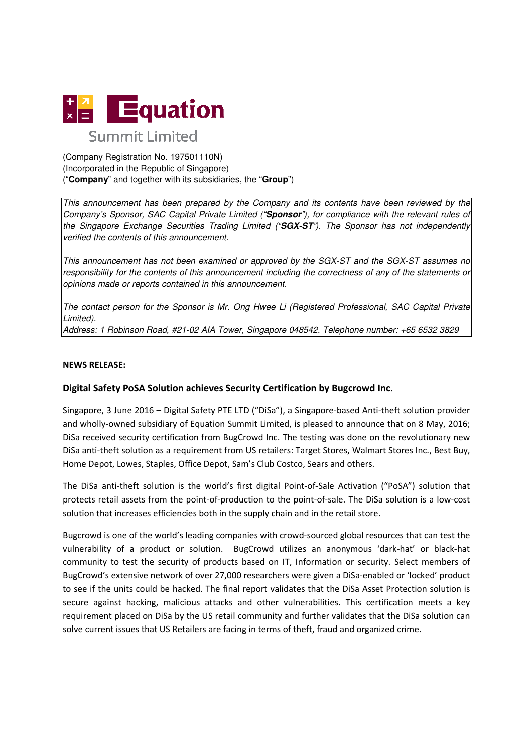

(Company Registration No. 197501110N) (Incorporated in the Republic of Singapore) ("**Company**" and together with its its subsidiaries, the "**Group**")

This announcement has been prepared by the Company and its contents have Company's Sponsor, SAC Capital Private Limited ("**Sponsor**"), for compliance with the relevant rules of the Singapore Exchange Securities Trading Limited ("SGX-ST"). The Sponsor has not independently verified the contents of this announcement.

This announcement has not been examined or approved by the SGX-ST and the SGX-ST assumes no responsibility for the contents of this announcement including the correctness of any of the statements or opinions made or reports contained in this announcement.

The contact person for the Sponsor is Mr. Ong Hwee Li (Registered Professional, SAC Capital Private Limited).

Address: 1 Robinson Road, #21-02 AIA Tower, Singapore 048542. Telephone number: +65 6532 3829

#### NEWS RELEASE:

# Digital Safety PoSA Solution achieves Security Certification by Bugcrowd Inc.

Singapore, 3 June 2016 - Digital Safety PTE LTD ("DiSa"), a Singapore-based Anti-theft solution provider and wholly-owned subsidiary of Equation Summit Limited, is pleased to announce that on 8 May, 2016; DiSa received security certification from BugCrowd Inc. The testing was done on the revolutionary new DiSa anti-theft solution as a requirement from US retailers: Target Stores, Walmart Stores Inc., Best Buy,<br>Home Depot, Lowes, Staples, Office Depot, Sam's Club Costco, Sears and others. Home Depot, Lowes, Staples, Office Depot, Sam's Club Costco, Sears and others.

The DiSa anti-theft solution is the world's first digital Point-of-Sale Activation ("PoSA") solution that protects retail assets from the point-of-production to the point-of-sale. The DiSa solution is a low-cost solution that increases efficiencies both in the supply chain and in the retail store.

solution that increases efficiencies both in the supply chain and in the retail store.<br>Bugcrowd is one of the world's leading companies with crowd-sourced global resources that can test the<br>vulnerability of a product or so vulnerability of a product or solution. BugCrowd utilizes an anonymous 'dark-hat' or black-hat community to test the security of products based on IT, Information or security. Select members of community to test the security of products based on IT, Information or security. Select members of<br>BugCrowd's extensive network of over 27,000 researchers were given a DiSa-enabled or 'locked' product to see if the units could be hacked. The final report validates that the DiSa Asset Protection secure against hacking, malicious attacks and other vulnerabilities. This certification meets a key requirement placed on DiSa by the US retail community and further validates that the DiSa solution can solve current issues that US Retailers are facing in terms of theft, fraud and organized crime. has been prepared by the Compary and its contents have been reviewed by the<br>s SAC Capital Private Limited ("**Sponsor**"), for compliance with the relevant rules of<br>ange Securities Trading Limited ("**Sponsor**"), to complianc enabled or 'locked' product<br>Asset Protection solution is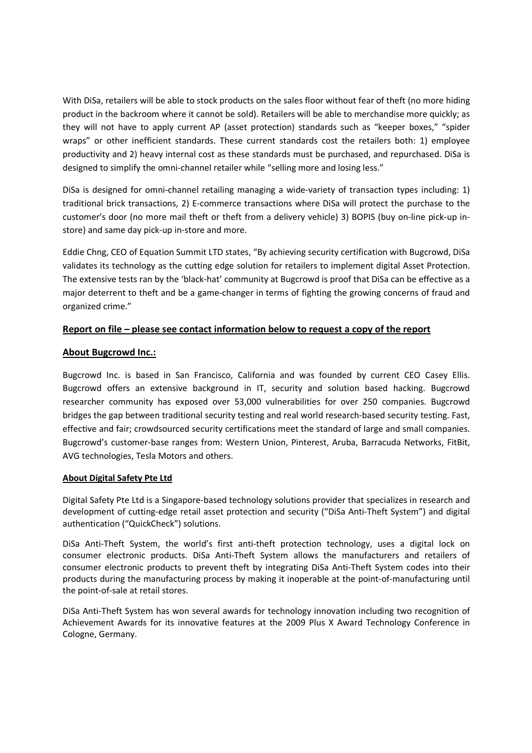With DiSa, retailers will be able to stock products on the sales floor without fear of theft (no more hiding product in the backroom where it cannot be sold). Retailers will be able to merchandise more quickly; as they will not have to apply current AP (asset protection) standards such as "keeper boxes," "spider wraps" or other inefficient standards. These current standards cost the retailers both: 1) employee productivity and 2) heavy internal cost as these standards must be purchased, and repurchased. DiSa is designed to simplify the omni-channel retailer while "selling more and losing less."

DiSa is designed for omni-channel retailing managing a wide-variety of transaction types including: 1) traditional brick transactions, 2) E-commerce transactions where DiSa will protect the purchase to the customer's door (no more mail theft or theft from a delivery vehicle) 3) BOPIS (buy on-line pick-up instore) and same day pick-up in-store and more.

Eddie Chng, CEO of Equation Summit LTD states, "By achieving security certification with Bugcrowd, DiSa validates its technology as the cutting edge solution for retailers to implement digital Asset Protection. The extensive tests ran by the 'black-hat' community at Bugcrowd is proof that DiSa can be effective as a major deterrent to theft and be a game-changer in terms of fighting the growing concerns of fraud and organized crime."

### Report on file – please see contact information below to request a copy of the report

#### About Bugcrowd Inc.:

Bugcrowd Inc. is based in San Francisco, California and was founded by current CEO Casey Ellis. Bugcrowd offers an extensive background in IT, security and solution based hacking. Bugcrowd researcher community has exposed over 53,000 vulnerabilities for over 250 companies. Bugcrowd bridges the gap between traditional security testing and real world research-based security testing. Fast, effective and fair; crowdsourced security certifications meet the standard of large and small companies. Bugcrowd's customer-base ranges from: Western Union, Pinterest, Aruba, Barracuda Networks, FitBit, AVG technologies, Tesla Motors and others.

#### About Digital Safety Pte Ltd

Digital Safety Pte Ltd is a Singapore-based technology solutions provider that specializes in research and development of cutting-edge retail asset protection and security ("DiSa Anti-Theft System") and digital authentication ("QuickCheck") solutions.

DiSa Anti-Theft System, the world's first anti-theft protection technology, uses a digital lock on consumer electronic products. DiSa Anti-Theft System allows the manufacturers and retailers of consumer electronic products to prevent theft by integrating DiSa Anti-Theft System codes into their products during the manufacturing process by making it inoperable at the point-of-manufacturing until the point-of-sale at retail stores.

DiSa Anti-Theft System has won several awards for technology innovation including two recognition of Achievement Awards for its innovative features at the 2009 Plus X Award Technology Conference in Cologne, Germany.